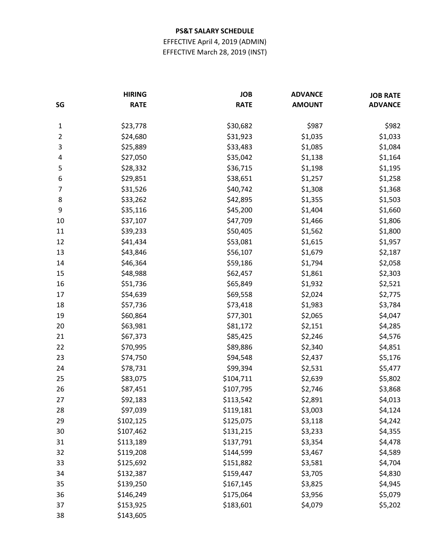EFFECTIVE April 4, 2019 (ADMIN) EFFECTIVE March 28, 2019 (INST)

| SG           | <b>HIRING</b><br><b>RATE</b> | <b>JOB</b><br><b>RATE</b> | <b>ADVANCE</b><br><b>AMOUNT</b> | <b>JOB RATE</b><br><b>ADVANCE</b> |
|--------------|------------------------------|---------------------------|---------------------------------|-----------------------------------|
|              |                              |                           |                                 |                                   |
| $\mathbf{1}$ | \$23,778                     | \$30,682                  | \$987                           | \$982                             |
| 2            | \$24,680                     | \$31,923                  | \$1,035                         | \$1,033                           |
| 3            | \$25,889                     | \$33,483                  | \$1,085                         | \$1,084                           |
| 4            | \$27,050                     | \$35,042                  | \$1,138                         | \$1,164                           |
| 5            | \$28,332                     | \$36,715                  | \$1,198                         | \$1,195                           |
| 6            | \$29,851                     | \$38,651                  | \$1,257                         | \$1,258                           |
| 7            | \$31,526                     | \$40,742                  | \$1,308                         | \$1,368                           |
| 8            | \$33,262                     | \$42,895                  | \$1,355                         | \$1,503                           |
| 9            | \$35,116                     | \$45,200                  | \$1,404                         | \$1,660                           |
| 10           | \$37,107                     | \$47,709                  | \$1,466                         | \$1,806                           |
| 11           | \$39,233                     | \$50,405                  | \$1,562                         | \$1,800                           |
| 12           | \$41,434                     | \$53,081                  | \$1,615                         | \$1,957                           |
| 13           | \$43,846                     | \$56,107                  | \$1,679                         | \$2,187                           |
| 14           | \$46,364                     | \$59,186                  | \$1,794                         | \$2,058                           |
| 15           | \$48,988                     | \$62,457                  | \$1,861                         | \$2,303                           |
| 16           | \$51,736                     | \$65,849                  | \$1,932                         | \$2,521                           |
| 17           | \$54,639                     | \$69,558                  | \$2,024                         | \$2,775                           |
| 18           | \$57,736                     | \$73,418                  | \$1,983                         | \$3,784                           |
| 19           | \$60,864                     | \$77,301                  | \$2,065                         | \$4,047                           |
| 20           | \$63,981                     | \$81,172                  | \$2,151                         | \$4,285                           |
| 21           | \$67,373                     | \$85,425                  | \$2,246                         | \$4,576                           |
| 22           | \$70,995                     | \$89,886                  | \$2,340                         | \$4,851                           |
| 23           | \$74,750                     | \$94,548                  | \$2,437                         | \$5,176                           |
| 24           | \$78,731                     | \$99,394                  | \$2,531                         | \$5,477                           |
| 25           | \$83,075                     | \$104,711                 | \$2,639                         | \$5,802                           |
| 26           | \$87,451                     | \$107,795                 | \$2,746                         | \$3,868                           |
| 27           | \$92,183                     | \$113,542                 | \$2,891                         | \$4,013                           |
| 28           | \$97,039                     | \$119,181                 | \$3,003                         | \$4,124                           |
| 29           | \$102,125                    | \$125,075                 | \$3,118                         | \$4,242                           |
| 30           | \$107,462                    | \$131,215                 | \$3,233                         | \$4,355                           |
| 31           | \$113,189                    | \$137,791                 | \$3,354                         | \$4,478                           |
| 32           | \$119,208                    | \$144,599                 | \$3,467                         | \$4,589                           |
| 33           | \$125,692                    | \$151,882                 | \$3,581                         | \$4,704                           |
| 34           | \$132,387                    | \$159,447                 | \$3,705                         | \$4,830                           |
| 35           | \$139,250                    | \$167,145                 | \$3,825                         | \$4,945                           |
| 36           | \$146,249                    | \$175,064                 | \$3,956                         | \$5,079                           |
| 37           | \$153,925                    | \$183,601                 | \$4,079                         | \$5,202                           |
| 38           | \$143,605                    |                           |                                 |                                   |
|              |                              |                           |                                 |                                   |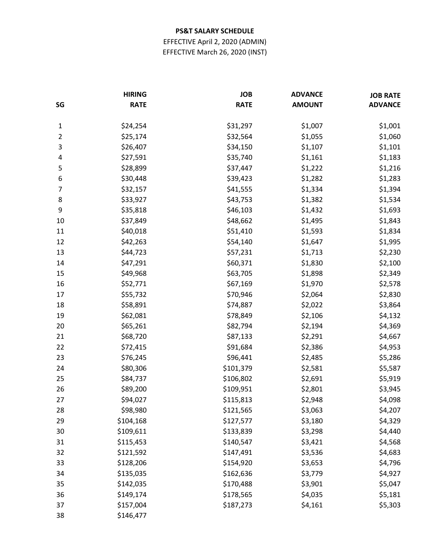EFFECTIVE April 2, 2020 (ADMIN) EFFECTIVE March 26, 2020 (INST)

| SG             | <b>HIRING</b><br><b>RATE</b> | <b>JOB</b><br><b>RATE</b> | <b>ADVANCE</b><br><b>AMOUNT</b> | <b>JOB RATE</b><br><b>ADVANCE</b> |
|----------------|------------------------------|---------------------------|---------------------------------|-----------------------------------|
|                |                              |                           |                                 |                                   |
| $\mathbf{1}$   | \$24,254                     | \$31,297                  | \$1,007                         | \$1,001                           |
| $\overline{2}$ | \$25,174                     | \$32,564                  | \$1,055                         | \$1,060                           |
| 3              | \$26,407                     | \$34,150                  | \$1,107                         | \$1,101                           |
| 4              | \$27,591                     | \$35,740                  | \$1,161                         | \$1,183                           |
| 5              | \$28,899                     | \$37,447                  | \$1,222                         | \$1,216                           |
| 6              | \$30,448                     | \$39,423                  | \$1,282                         | \$1,283                           |
| 7              | \$32,157                     | \$41,555                  | \$1,334                         | \$1,394                           |
| 8              | \$33,927                     | \$43,753                  | \$1,382                         | \$1,534                           |
| 9              | \$35,818                     | \$46,103                  | \$1,432                         | \$1,693                           |
| 10             | \$37,849                     | \$48,662                  | \$1,495                         | \$1,843                           |
| 11             | \$40,018                     | \$51,410                  | \$1,593                         | \$1,834                           |
| 12             | \$42,263                     | \$54,140                  | \$1,647                         | \$1,995                           |
| 13             | \$44,723                     | \$57,231                  | \$1,713                         | \$2,230                           |
| 14             | \$47,291                     | \$60,371                  | \$1,830                         | \$2,100                           |
| 15             | \$49,968                     | \$63,705                  | \$1,898                         | \$2,349                           |
| 16             | \$52,771                     | \$67,169                  | \$1,970                         | \$2,578                           |
| 17             | \$55,732                     | \$70,946                  | \$2,064                         | \$2,830                           |
| 18             | \$58,891                     | \$74,887                  | \$2,022                         | \$3,864                           |
| 19             | \$62,081                     | \$78,849                  | \$2,106                         | \$4,132                           |
| 20             | \$65,261                     | \$82,794                  | \$2,194                         | \$4,369                           |
| 21             | \$68,720                     | \$87,133                  | \$2,291                         | \$4,667                           |
| 22             | \$72,415                     | \$91,684                  | \$2,386                         | \$4,953                           |
| 23             | \$76,245                     | \$96,441                  | \$2,485                         | \$5,286                           |
| 24             | \$80,306                     | \$101,379                 | \$2,581                         | \$5,587                           |
| 25             | \$84,737                     | \$106,802                 | \$2,691                         | \$5,919                           |
| 26             | \$89,200                     | \$109,951                 | \$2,801                         | \$3,945                           |
| 27             | \$94,027                     | \$115,813                 | \$2,948                         | \$4,098                           |
| 28             | \$98,980                     | \$121,565                 | \$3,063                         | \$4,207                           |
| 29             | \$104,168                    | \$127,577                 | \$3,180                         | \$4,329                           |
| 30             | \$109,611                    | \$133,839                 | \$3,298                         | \$4,440                           |
| 31             | \$115,453                    | \$140,547                 | \$3,421                         | \$4,568                           |
| 32             | \$121,592                    | \$147,491                 | \$3,536                         | \$4,683                           |
| 33             | \$128,206                    | \$154,920                 | \$3,653                         | \$4,796                           |
| 34             | \$135,035                    | \$162,636                 | \$3,779                         | \$4,927                           |
| 35             | \$142,035                    | \$170,488                 | \$3,901                         | \$5,047                           |
| 36             | \$149,174                    | \$178,565                 | \$4,035                         | \$5,181                           |
| 37             | \$157,004                    | \$187,273                 | \$4,161                         | \$5,303                           |
| 38             | \$146,477                    |                           |                                 |                                   |
|                |                              |                           |                                 |                                   |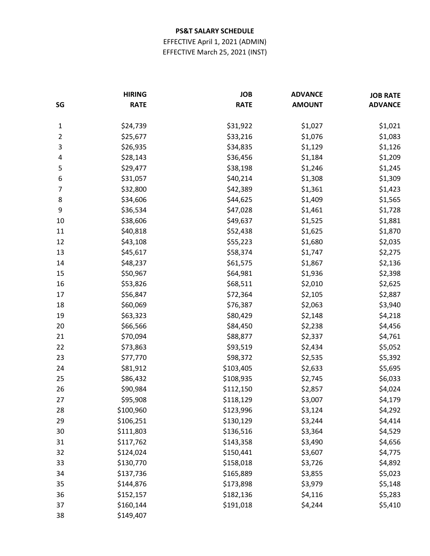EFFECTIVE April 1, 2021 (ADMIN) EFFECTIVE March 25, 2021 (INST)

| SG             | <b>HIRING</b><br><b>RATE</b> | <b>JOB</b><br><b>RATE</b> | <b>ADVANCE</b><br><b>AMOUNT</b> | <b>JOB RATE</b><br><b>ADVANCE</b> |
|----------------|------------------------------|---------------------------|---------------------------------|-----------------------------------|
|                |                              |                           |                                 |                                   |
| $\mathbf{1}$   | \$24,739                     | \$31,922                  | \$1,027                         | \$1,021                           |
| $\overline{2}$ | \$25,677                     | \$33,216                  | \$1,076                         | \$1,083                           |
| 3              | \$26,935                     | \$34,835                  | \$1,129                         | \$1,126                           |
| 4              | \$28,143                     | \$36,456                  | \$1,184                         | \$1,209                           |
| 5              | \$29,477                     | \$38,198                  | \$1,246                         | \$1,245                           |
| 6              | \$31,057                     | \$40,214                  | \$1,308                         | \$1,309                           |
| 7              | \$32,800                     | \$42,389                  | \$1,361                         | \$1,423                           |
| 8              | \$34,606                     | \$44,625                  | \$1,409                         | \$1,565                           |
| 9              | \$36,534                     | \$47,028                  | \$1,461                         | \$1,728                           |
| 10             | \$38,606                     | \$49,637                  | \$1,525                         | \$1,881                           |
| 11             | \$40,818                     | \$52,438                  | \$1,625                         | \$1,870                           |
| 12             | \$43,108                     | \$55,223                  | \$1,680                         | \$2,035                           |
| 13             | \$45,617                     | \$58,374                  | \$1,747                         | \$2,275                           |
| 14             | \$48,237                     | \$61,575                  | \$1,867                         | \$2,136                           |
| 15             | \$50,967                     | \$64,981                  | \$1,936                         | \$2,398                           |
| 16             | \$53,826                     | \$68,511                  | \$2,010                         | \$2,625                           |
| 17             | \$56,847                     | \$72,364                  | \$2,105                         | \$2,887                           |
| 18             | \$60,069                     | \$76,387                  | \$2,063                         | \$3,940                           |
| 19             | \$63,323                     | \$80,429                  | \$2,148                         | \$4,218                           |
| 20             | \$66,566                     | \$84,450                  | \$2,238                         | \$4,456                           |
| 21             | \$70,094                     | \$88,877                  | \$2,337                         | \$4,761                           |
| 22             | \$73,863                     | \$93,519                  | \$2,434                         | \$5,052                           |
| 23             | \$77,770                     | \$98,372                  | \$2,535                         | \$5,392                           |
| 24             | \$81,912                     | \$103,405                 | \$2,633                         | \$5,695                           |
| 25             | \$86,432                     | \$108,935                 | \$2,745                         | \$6,033                           |
| 26             | \$90,984                     | \$112,150                 | \$2,857                         | \$4,024                           |
| 27             | \$95,908                     | \$118,129                 | \$3,007                         | \$4,179                           |
| 28             | \$100,960                    | \$123,996                 | \$3,124                         | \$4,292                           |
| 29             | \$106,251                    | \$130,129                 | \$3,244                         | \$4,414                           |
| 30             | \$111,803                    | \$136,516                 | \$3,364                         | \$4,529                           |
| 31             | \$117,762                    | \$143,358                 | \$3,490                         | \$4,656                           |
| 32             | \$124,024                    | \$150,441                 | \$3,607                         | \$4,775                           |
| 33             | \$130,770                    | \$158,018                 | \$3,726                         | \$4,892                           |
| 34             | \$137,736                    | \$165,889                 | \$3,855                         | \$5,023                           |
| 35             | \$144,876                    | \$173,898                 | \$3,979                         | \$5,148                           |
| 36             | \$152,157                    | \$182,136                 | \$4,116                         | \$5,283                           |
| 37             | \$160,144                    | \$191,018                 | \$4,244                         | \$5,410                           |
| 38             | \$149,407                    |                           |                                 |                                   |
|                |                              |                           |                                 |                                   |